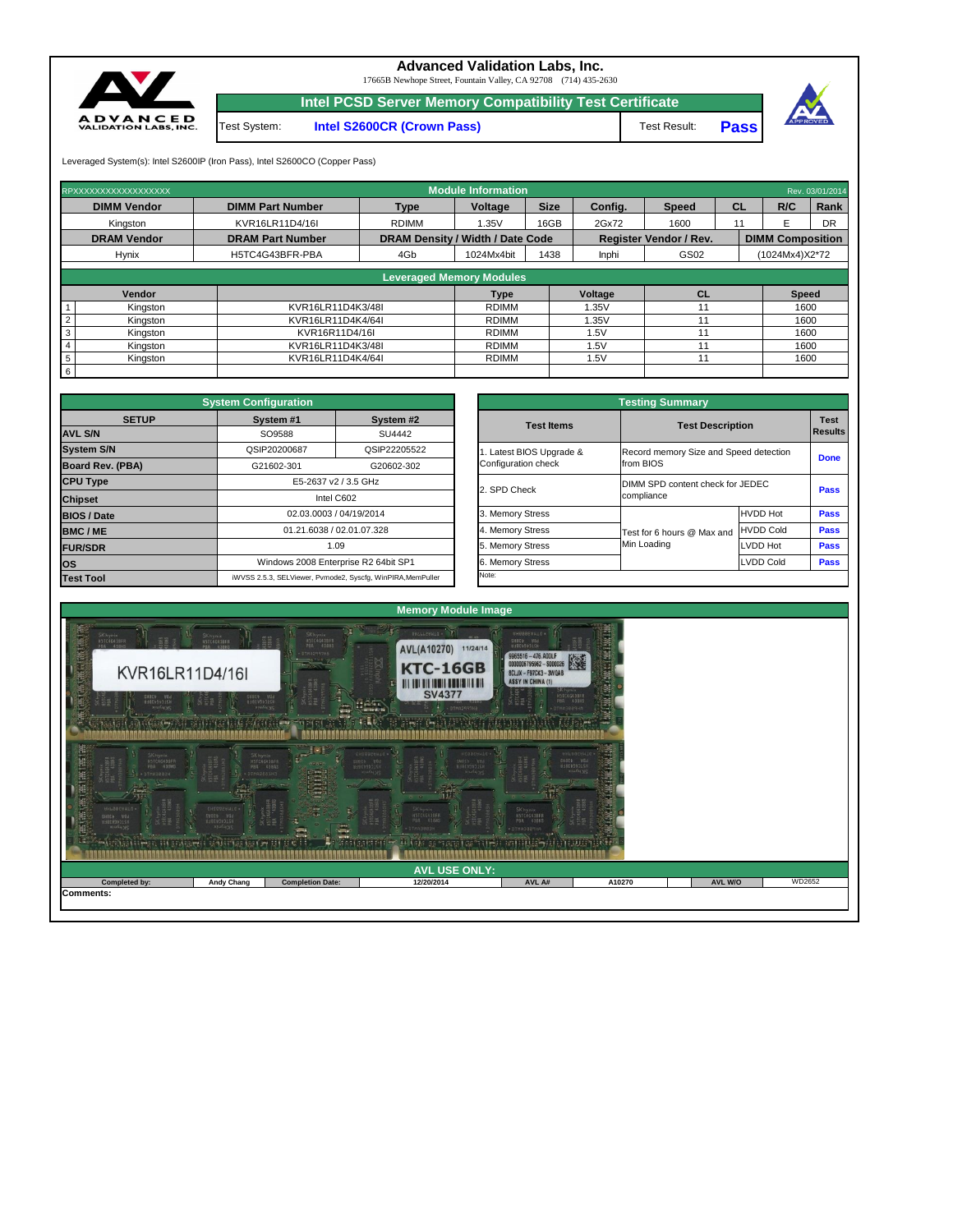|                      | CA 49 ROOM TO SAN TIE REARDEREN RANDATIGE BOAT OM IT ET D | .<br><b>CIP</b>         | HI CALL BE THAT GETTING<br>$(4.661)$ $(7.5102)$ $(6.81)$ $(4.41)$ | <b>BY HIS REPAIRING MARKET AN</b> |        |                |        |  |  |  |
|----------------------|-----------------------------------------------------------|-------------------------|-------------------------------------------------------------------|-----------------------------------|--------|----------------|--------|--|--|--|
| <b>AVL USE ONLY:</b> |                                                           |                         |                                                                   |                                   |        |                |        |  |  |  |
| Completed by:        | <b>Andy Chang</b>                                         | <b>Completion Date:</b> | 12/20/2014                                                        | AVL A#                            | A10270 | <b>AVL W/O</b> | WD2652 |  |  |  |



|              | <b>System Configuration</b> |                                                             |                       | <b>Testing Summary</b>           |                                        |                |  |  |
|--------------|-----------------------------|-------------------------------------------------------------|-----------------------|----------------------------------|----------------------------------------|----------------|--|--|
| <b>SETUP</b> | System #1                   | System #2                                                   | <b>Test Items</b>     | <b>Test Description</b>          | <b>Test</b>                            |                |  |  |
|              | SO9588                      | SU4442                                                      |                       |                                  |                                        | <b>Results</b> |  |  |
|              | QSIP20200687                | QSIP22205522                                                | Latest BIOS Upgrade & |                                  | Record memory Size and Speed detection |                |  |  |
| <b>BA)</b>   | G21602-301                  | G20602-302                                                  | Configuration check   | from BIOS                        |                                        | <b>Done</b>    |  |  |
|              |                             | E5-2637 v2 / 3.5 GHz                                        |                       | DIMM SPD content check for JEDEC |                                        |                |  |  |
|              |                             | Intel C602                                                  |                       | 2. SPD Check<br>compliance       |                                        | <b>Pass</b>    |  |  |
|              |                             | 02.03.0003 / 04/19/2014                                     | 3. Memory Stress      |                                  | <b>HVDD Hot</b>                        | <b>Pass</b>    |  |  |
|              |                             | 01.21.6038 / 02.01.07.328                                   | 4. Memory Stress      | Test for 6 hours @ Max and       | <b>HVDD Cold</b>                       | <b>Pass</b>    |  |  |
|              |                             | 1.09                                                        | 5. Memory Stress      | Min Loading                      | LVDD Hot                               | <b>Pass</b>    |  |  |
|              |                             | Windows 2008 Enterprise R2 64bit SP1                        | 6. Memory Stress      |                                  | <b>LVDD Cold</b>                       | <b>Pass</b>    |  |  |
|              |                             | iWVSS 2.5.3. SELViewer, Pymode2, Syscfa, WinPIRA, MemPuller | Note:                 |                                  |                                        |                |  |  |

|                         | <b>System Configuration</b> |                                                             |                       | <b>Testing Summary</b> |                                                |                  |                |  |  |  |  |
|-------------------------|-----------------------------|-------------------------------------------------------------|-----------------------|------------------------|------------------------------------------------|------------------|----------------|--|--|--|--|
| <b>SETUP</b>            | System #1                   | System #2                                                   | <b>Test Items</b>     |                        | <b>Test Description</b>                        |                  |                |  |  |  |  |
| <b>AVL S/N</b>          | SO9588                      | SU4442                                                      |                       |                        |                                                |                  | <b>Results</b> |  |  |  |  |
| <b>System S/N</b>       | QSIP20200687                | QSIP22205522                                                | Latest BIOS Upgrade & |                        | Record memory Size and Speed detection         |                  |                |  |  |  |  |
| <b>Board Rev. (PBA)</b> | G21602-301                  | G20602-302                                                  | Configuration check   |                        | from BIOS                                      | <b>Done</b>      |                |  |  |  |  |
| <b>CPU Type</b>         |                             | E5-2637 v2 / 3.5 GHz                                        |                       |                        | DIMM SPD content check for JEDEC<br>compliance |                  |                |  |  |  |  |
| <b>Chipset</b>          |                             | Intel C602                                                  | 2. SPD Check          |                        |                                                |                  |                |  |  |  |  |
| <b>BIOS / Date</b>      |                             | 02.03.0003 / 04/19/2014                                     | 3. Memory Stress      |                        |                                                | <b>HVDD Hot</b>  | <b>Pass</b>    |  |  |  |  |
| <b>BMC/ME</b>           |                             | 01.21.6038 / 02.01.07.328                                   | 4. Memory Stress      |                        | Test for 6 hours @ Max and                     | HVDD Cold        | <b>Pass</b>    |  |  |  |  |
| <b>FUR/SDR</b>          |                             | 1.09                                                        | 5. Memory Stress      |                        | Min Loading                                    | LVDD Hot         | <b>Pass</b>    |  |  |  |  |
| <b>OS</b>               |                             | Windows 2008 Enterprise R2 64bit SP1                        | 6. Memory Stress      |                        |                                                | <b>LVDD Cold</b> | <b>Pass</b>    |  |  |  |  |
| <b>Test Tool</b>        |                             | iWVSS 2.5.3, SELViewer, Pvmode2, Syscfg, WinPIRA, MemPuller | Note:                 |                        |                                                |                  |                |  |  |  |  |

| <b>Leveraged Memory Modules</b> |                   |              |         |    |              |  |  |  |  |  |  |
|---------------------------------|-------------------|--------------|---------|----|--------------|--|--|--|--|--|--|
| <b>Vendor</b>                   |                   | Type         | Voltage | CL | <b>Speed</b> |  |  |  |  |  |  |
| Kingston                        | KVR16LR11D4K3/48I | <b>RDIMM</b> | 1.35V   |    | 1600         |  |  |  |  |  |  |
| Kingston                        | KVR16LR11D4K4/64I | <b>RDIMM</b> | 1.35V   |    | 1600         |  |  |  |  |  |  |
| Kingston                        | KVR16R11D4/16I    | <b>RDIMM</b> | .5V     |    | 1600         |  |  |  |  |  |  |
| Kingston                        | KVR16LR11D4K3/48I | <b>RDIMM</b> | 5V      |    | 1600         |  |  |  |  |  |  |
| Kingston                        | KVR16LR11D4K4/64I | <b>RDIMM</b> | .5V     |    | 1600         |  |  |  |  |  |  |
|                                 |                   |              |         |    |              |  |  |  |  |  |  |

**Pass**



## **Advanced Validation Labs, Inc.**

| RPXXXXXXXXXXXXXXXXX |                         | <b>Module Information</b>                                         |                |             |         |              |                         | Rev. 03/01/2014 |           |  |  |
|---------------------|-------------------------|-------------------------------------------------------------------|----------------|-------------|---------|--------------|-------------------------|-----------------|-----------|--|--|
| <b>DIMM Vendor</b>  | <b>DIMM Part Number</b> | <b>Type</b>                                                       | <b>Voltage</b> | <b>Size</b> | Config. | <b>Speed</b> | <b>CL</b>               | R/C             | Rank      |  |  |
| Kingston            | KVR16LR11D4/16I         | <b>RDIMM</b>                                                      | 1.35V          | 16GB        | 2Gx72   | 1600         |                         |                 | <b>DR</b> |  |  |
| <b>DRAM Vendor</b>  | <b>DRAM Part Number</b> | DRAM Density / Width / Date Code<br><b>Register Vendor / Rev.</b> |                |             |         |              | <b>DIMM Composition</b> |                 |           |  |  |
| <b>Hynix</b>        | H5TC4G43BFR-PBA         | 4Gb                                                               | 1024Mx4bit     | 1438        | Inphi   | GS02         |                         | (1024Mx4)X2*72  |           |  |  |
|                     |                         |                                                                   |                |             |         |              |                         |                 |           |  |  |

17665B Newhope Street, Fountain Valley, CA 92708 (714) 435-2630

Test System: **Intel S2600CR (Crown Pass)**

Leveraged System(s): Intel S2600IP (Iron Pass), Intel S2600CO (Copper Pass)

**Intel PCSD Server Memory Compatibility Test Certificate**

Test Result: